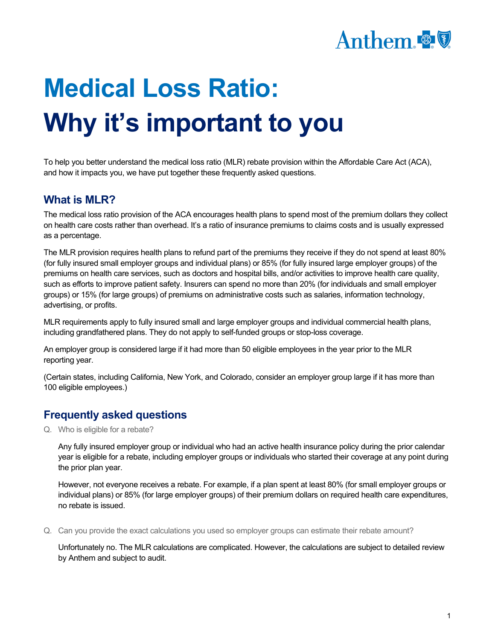

## **Medical Loss Ratio: Why it's important to you**

To help you better understand the medical loss ratio (MLR) rebate provision within the Affordable Care Act (ACA), and how it impacts you, we have put together these frequently asked questions.

## **What is MLR?**

The medical loss ratio provision of the ACA encourages health plans to spend most of the premium dollars they collect on health care costs rather than overhead. It's a ratio of insurance premiums to claims costs and is usually expressed as a percentage.

The MLR provision requires health plans to refund part of the premiums they receive if they do not spend at least 80% (for fully insured small employer groups and individual plans) or 85% (for fully insured large employer groups) of the premiums on health care services, such as doctors and hospital bills, and/or activities to improve health care quality, such as efforts to improve patient safety. Insurers can spend no more than 20% (for individuals and small employer groups) or 15% (for large groups) of premiums on administrative costs such as salaries, information technology, advertising, or profits.

MLR requirements apply to fully insured small and large employer groups and individual commercial health plans, including grandfathered plans. They do not apply to self-funded groups or stop-loss coverage.

An employer group is considered large if it had more than 50 eligible employees in the year prior to the MLR reporting year.

(Certain states, including California, New York, and Colorado, consider an employer group large if it has more than 100 eligible employees.)

## **Frequently asked questions**

Q. Who is eligible for a rebate?

Any fully insured employer group or individual who had an active health insurance policy during the prior calendar year is eligible for a rebate, including employer groups or individuals who started their coverage at any point during the prior plan year.

However, not everyone receives a rebate. For example, if a plan spent at least 80% (for small employer groups or individual plans) or 85% (for large employer groups) of their premium dollars on required health care expenditures, no rebate is issued.

Q. Can you provide the exact calculations you used so employer groups can estimate their rebate amount?

Unfortunately no. The MLR calculations are complicated. However, the calculations are subject to detailed review by Anthem and subject to audit.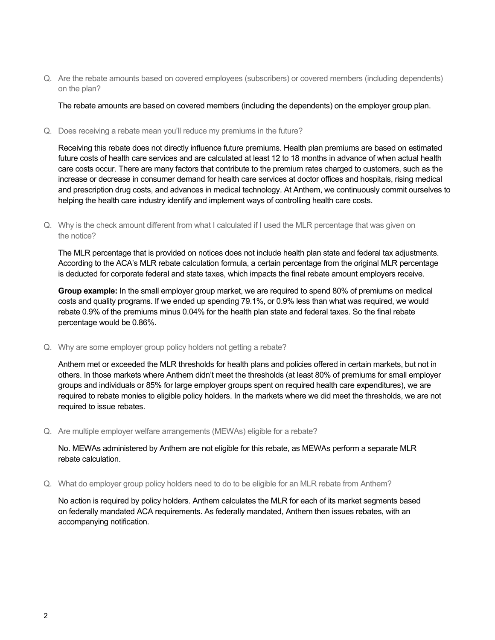Q. Are the rebate amounts based on covered employees (subscribers) or covered members (including dependents) on the plan?

The rebate amounts are based on covered members (including the dependents) on the employer group plan.

Q. Does receiving a rebate mean you'll reduce my premiums in the future?

Receiving this rebate does not directly influence future premiums. Health plan premiums are based on estimated future costs of health care services and are calculated at least 12 to 18 months in advance of when actual health care costs occur. There are many factors that contribute to the premium rates charged to customers, such as the increase or decrease in consumer demand for health care services at doctor offices and hospitals, rising medical and prescription drug costs, and advances in medical technology. At Anthem, we continuously commit ourselves to helping the health care industry identify and implement ways of controlling health care costs.

Q. Why is the check amount different from what I calculated if I used the MLR percentage that was given on the notice?

The MLR percentage that is provided on notices does not include health plan state and federal tax adjustments. According to the ACA's MLR rebate calculation formula, a certain percentage from the original MLR percentage is deducted for corporate federal and state taxes, which impacts the final rebate amount employers receive.

**Group example:** In the small employer group market, we are required to spend 80% of premiums on medical costs and quality programs. If we ended up spending 79.1%, or 0.9% less than what was required, we would rebate 0.9% of the premiums minus 0.04% for the health plan state and federal taxes. So the final rebate percentage would be 0.86%.

Q. Why are some employer group policy holders not getting a rebate?

Anthem met or exceeded the MLR thresholds for health plans and policies offered in certain markets, but not in others. In those markets where Anthem didn't meet the thresholds (at least 80% of premiums for small employer groups and individuals or 85% for large employer groups spent on required health care expenditures), we are required to rebate monies to eligible policy holders. In the markets where we did meet the thresholds, we are not required to issue rebates.

Q. Are multiple employer welfare arrangements (MEWAs) eligible for a rebate?

No. MEWAs administered by Anthem are not eligible for this rebate, as MEWAs perform a separate MLR rebate calculation.

Q. What do employer group policy holders need to do to be eligible for an MLR rebate from Anthem?

No action is required by policy holders. Anthem calculates the MLR for each of its market segments based on federally mandated ACA requirements. As federally mandated, Anthem then issues rebates, with an accompanying notification.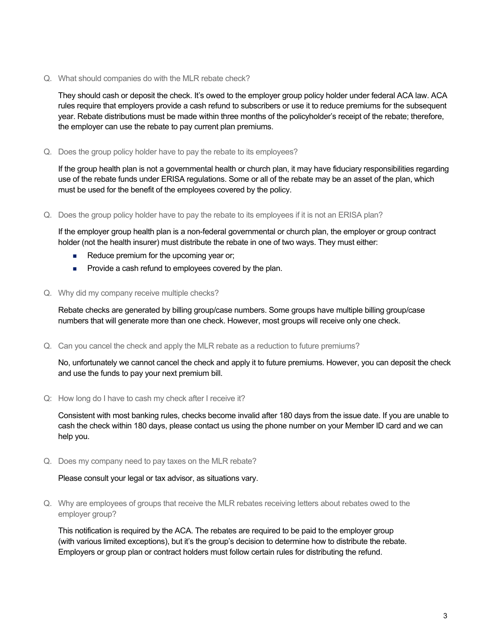Q. What should companies do with the MLR rebate check?

They should cash or deposit the check. It's owed to the employer group policy holder under federal ACA law. ACA rules require that employers provide a cash refund to subscribers or use it to reduce premiums for the subsequent year. Rebate distributions must be made within three months of the policyholder's receipt of the rebate; therefore, the employer can use the rebate to pay current plan premiums.

Q. Does the group policy holder have to pay the rebate to its employees?

If the group health plan is not a governmental health or church plan, it may have fiduciary responsibilities regarding use of the rebate funds under ERISA regulations. Some or all of the rebate may be an asset of the plan, which must be used for the benefit of the employees covered by the policy.

Q. Does the group policy holder have to pay the rebate to its employees if it is not an ERISA plan?

If the employer group health plan is a non-federal governmental or church plan, the employer or group contract holder (not the health insurer) must distribute the rebate in one of two ways. They must either:

- Reduce premium for the upcoming year or;
- **Provide a cash refund to employees covered by the plan.**
- Q. Why did my company receive multiple checks?

Rebate checks are generated by billing group/case numbers. Some groups have multiple billing group/case numbers that will generate more than one check. However, most groups will receive only one check.

Q. Can you cancel the check and apply the MLR rebate as a reduction to future premiums?

No, unfortunately we cannot cancel the check and apply it to future premiums. However, you can deposit the check and use the funds to pay your next premium bill.

Q: How long do I have to cash my check after I receive it?

Consistent with most banking rules, checks become invalid after 180 days from the issue date. If you are unable to cash the check within 180 days, please contact us using the phone number on your Member ID card and we can help you.

Q. Does my company need to pay taxes on the MLR rebate?

## Please consult your legal or tax advisor, as situations vary.

Q. Why are employees of groups that receive the MLR rebates receiving letters about rebates owed to the employer group?

This notification is required by the ACA. The rebates are required to be paid to the employer group (with various limited exceptions), but it's the group's decision to determine how to distribute the rebate. Employers or group plan or contract holders must follow certain rules for distributing the refund.